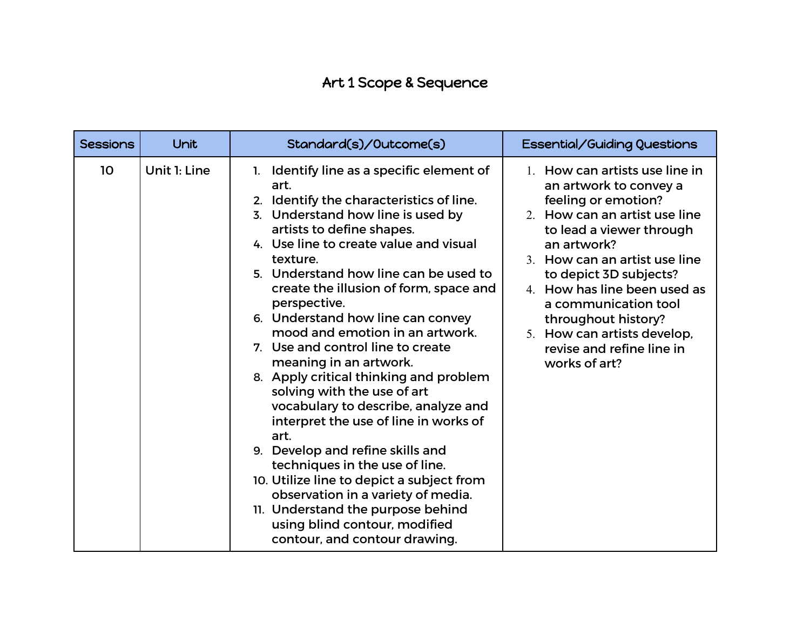## Art 1 Scope & Sequence

| <b>Sessions</b> | Unit         | Standard(s)/Outcome(s)                                                                                                                                                                                                                                                                                                                                                                                                                                                                                                                                                                                                                                                                                                                                                                                                                                                                           | Essential/Guiding Questions                                                                                                                                                                                                                                                                                                                                                        |
|-----------------|--------------|--------------------------------------------------------------------------------------------------------------------------------------------------------------------------------------------------------------------------------------------------------------------------------------------------------------------------------------------------------------------------------------------------------------------------------------------------------------------------------------------------------------------------------------------------------------------------------------------------------------------------------------------------------------------------------------------------------------------------------------------------------------------------------------------------------------------------------------------------------------------------------------------------|------------------------------------------------------------------------------------------------------------------------------------------------------------------------------------------------------------------------------------------------------------------------------------------------------------------------------------------------------------------------------------|
| 10              | Unit 1: Line | 1. Identify line as a specific element of<br>art.<br>2. Identify the characteristics of line.<br>3. Understand how line is used by<br>artists to define shapes.<br>4. Use line to create value and visual<br>texture.<br>5. Understand how line can be used to<br>create the illusion of form, space and<br>perspective.<br>6. Understand how line can convey<br>mood and emotion in an artwork.<br>7. Use and control line to create<br>meaning in an artwork.<br>8. Apply critical thinking and problem<br>solving with the use of art<br>vocabulary to describe, analyze and<br>interpret the use of line in works of<br>art.<br>9. Develop and refine skills and<br>techniques in the use of line.<br>10. Utilize line to depict a subject from<br>observation in a variety of media.<br>11. Understand the purpose behind<br>using blind contour, modified<br>contour, and contour drawing. | 1. How can artists use line in<br>an artwork to convey a<br>feeling or emotion?<br>2. How can an artist use line<br>to lead a viewer through<br>an artwork?<br>3. How can an artist use line<br>to depict 3D subjects?<br>4. How has line been used as<br>a communication tool<br>throughout history?<br>5. How can artists develop,<br>revise and refine line in<br>works of art? |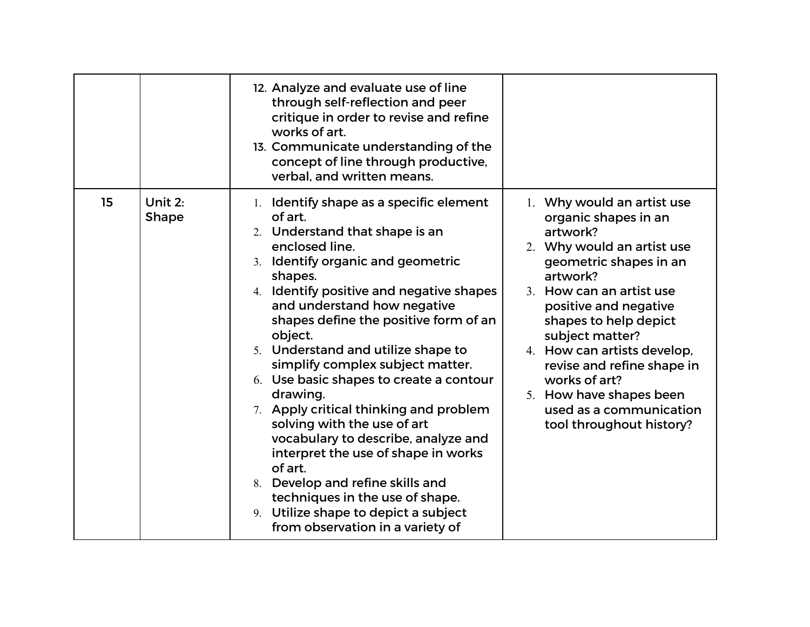|    |                         | 12. Analyze and evaluate use of line<br>through self-reflection and peer<br>critique in order to revise and refine<br>works of art.<br>13. Communicate understanding of the<br>concept of line through productive,<br>verbal, and written means.                                                                                                                                                                                                                                                                                                                                                                                                                                                                                            |                                                                                                                                                                                                                                                                                                                                                                                                     |
|----|-------------------------|---------------------------------------------------------------------------------------------------------------------------------------------------------------------------------------------------------------------------------------------------------------------------------------------------------------------------------------------------------------------------------------------------------------------------------------------------------------------------------------------------------------------------------------------------------------------------------------------------------------------------------------------------------------------------------------------------------------------------------------------|-----------------------------------------------------------------------------------------------------------------------------------------------------------------------------------------------------------------------------------------------------------------------------------------------------------------------------------------------------------------------------------------------------|
| 15 | Unit 2:<br><b>Shape</b> | 1. Identify shape as a specific element<br>of art.<br>2. Understand that shape is an<br>enclosed line.<br>3. Identify organic and geometric<br>shapes.<br>4. Identify positive and negative shapes<br>and understand how negative<br>shapes define the positive form of an<br>object.<br>5. Understand and utilize shape to<br>simplify complex subject matter.<br>6. Use basic shapes to create a contour<br>drawing.<br>7. Apply critical thinking and problem<br>solving with the use of art<br>vocabulary to describe, analyze and<br>interpret the use of shape in works<br>of art.<br>8. Develop and refine skills and<br>techniques in the use of shape.<br>9. Utilize shape to depict a subject<br>from observation in a variety of | 1. Why would an artist use<br>organic shapes in an<br>artwork?<br>2. Why would an artist use<br>geometric shapes in an<br>artwork?<br>3. How can an artist use<br>positive and negative<br>shapes to help depict<br>subject matter?<br>4. How can artists develop,<br>revise and refine shape in<br>works of art?<br>5. How have shapes been<br>used as a communication<br>tool throughout history? |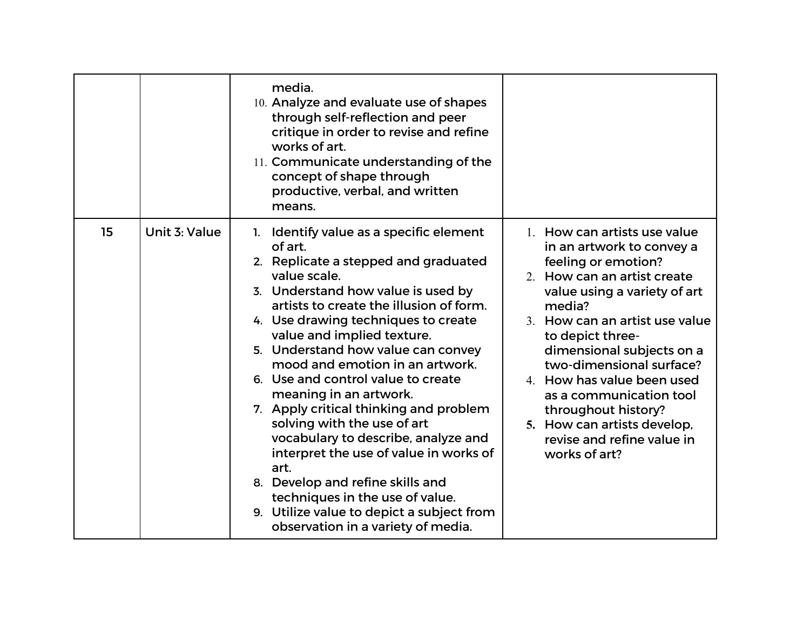|    |               | media.<br>10. Analyze and evaluate use of shapes<br>through self-reflection and peer<br>critique in order to revise and refine<br>works of art.<br>11. Communicate understanding of the<br>concept of shape through<br>productive, verbal, and written<br>means.                                                                                                                                                                                                                                                                                                                                                                                                                                                                      |                                                                                                                                                                                                                                                                                                                                                                                                                                       |
|----|---------------|---------------------------------------------------------------------------------------------------------------------------------------------------------------------------------------------------------------------------------------------------------------------------------------------------------------------------------------------------------------------------------------------------------------------------------------------------------------------------------------------------------------------------------------------------------------------------------------------------------------------------------------------------------------------------------------------------------------------------------------|---------------------------------------------------------------------------------------------------------------------------------------------------------------------------------------------------------------------------------------------------------------------------------------------------------------------------------------------------------------------------------------------------------------------------------------|
| 15 | Unit 3: Value | 1. Identify value as a specific element<br>of art.<br>2. Replicate a stepped and graduated<br>value scale.<br>3. Understand how value is used by<br>artists to create the illusion of form.<br>4. Use drawing techniques to create<br>value and implied texture.<br>5. Understand how value can convey<br>mood and emotion in an artwork.<br>6. Use and control value to create<br>meaning in an artwork.<br>7. Apply critical thinking and problem<br>solving with the use of art<br>vocabulary to describe, analyze and<br>interpret the use of value in works of<br>art.<br>8. Develop and refine skills and<br>techniques in the use of value.<br>9. Utilize value to depict a subject from<br>observation in a variety of media. | 1. How can artists use value<br>in an artwork to convey a<br>feeling or emotion?<br>2. How can an artist create<br>value using a variety of art<br>media?<br>3. How can an artist use value<br>to depict three-<br>dimensional subjects on a<br>two-dimensional surface?<br>4 How has value been used<br>as a communication tool<br>throughout history?<br>5. How can artists develop,<br>revise and refine value in<br>works of art? |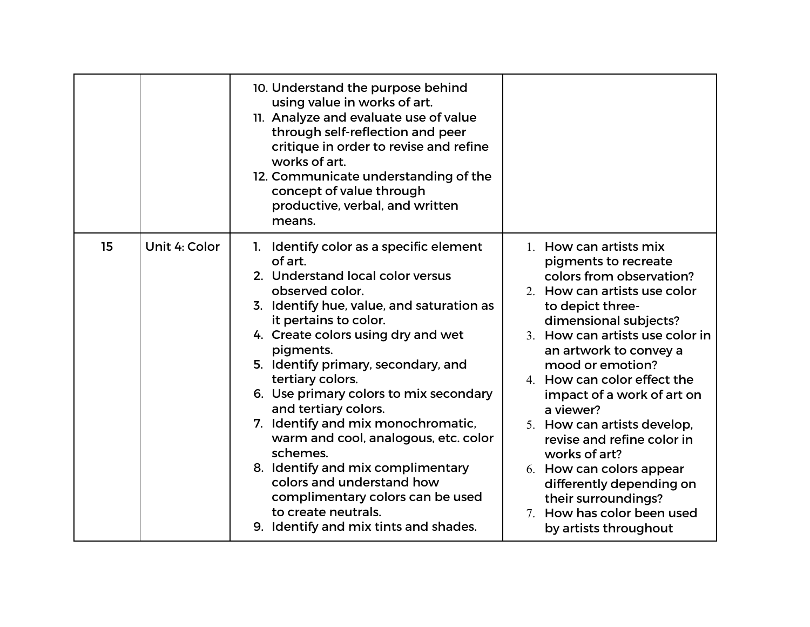|    |               | 10. Understand the purpose behind<br>using value in works of art.<br>11. Analyze and evaluate use of value<br>through self-reflection and peer<br>critique in order to revise and refine<br>works of art.<br>12. Communicate understanding of the<br>concept of value through<br>productive, verbal, and written<br>means.                                                                                                                                                                                                                                                                                                      |                                                                                                                                                                                                                                                                                                                                                                                                                                                                                                                                                   |
|----|---------------|---------------------------------------------------------------------------------------------------------------------------------------------------------------------------------------------------------------------------------------------------------------------------------------------------------------------------------------------------------------------------------------------------------------------------------------------------------------------------------------------------------------------------------------------------------------------------------------------------------------------------------|---------------------------------------------------------------------------------------------------------------------------------------------------------------------------------------------------------------------------------------------------------------------------------------------------------------------------------------------------------------------------------------------------------------------------------------------------------------------------------------------------------------------------------------------------|
| 15 | Unit 4: Color | 1. Identify color as a specific element<br>of art.<br>2. Understand local color versus<br>observed color.<br>3. Identify hue, value, and saturation as<br>it pertains to color.<br>4. Create colors using dry and wet<br>pigments.<br>5. Identify primary, secondary, and<br>tertiary colors.<br>6. Use primary colors to mix secondary<br>and tertiary colors.<br>7. Identify and mix monochromatic,<br>warm and cool, analogous, etc. color<br>schemes.<br>8. Identify and mix complimentary<br>colors and understand how<br>complimentary colors can be used<br>to create neutrals.<br>9. Identify and mix tints and shades. | 1. How can artists mix<br>pigments to recreate<br>colors from observation?<br>2. How can artists use color<br>to depict three-<br>dimensional subjects?<br>3. How can artists use color in<br>an artwork to convey a<br>mood or emotion?<br>4 How can color effect the<br>impact of a work of art on<br>a viewer?<br>5. How can artists develop,<br>revise and refine color in<br>works of art?<br>6. How can colors appear<br>differently depending on<br>their surroundings?<br>How has color been used<br>$7^{\circ}$<br>by artists throughout |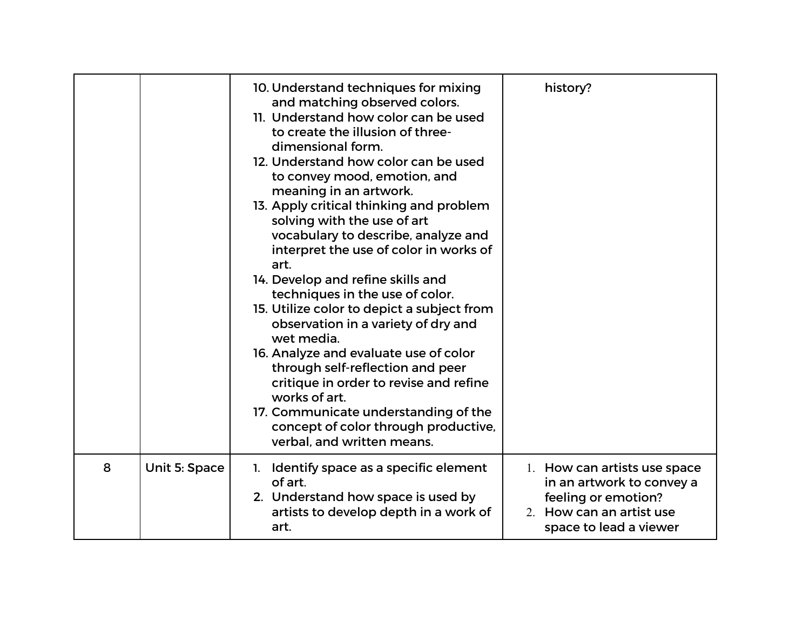|               | 10. Understand techniques for mixing<br>and matching observed colors.                                                                                                                                                                                                                                                                                                                                                                                                                                                                                                                                                                                                                                                                                                                               | history?                                                                                                                               |
|---------------|-----------------------------------------------------------------------------------------------------------------------------------------------------------------------------------------------------------------------------------------------------------------------------------------------------------------------------------------------------------------------------------------------------------------------------------------------------------------------------------------------------------------------------------------------------------------------------------------------------------------------------------------------------------------------------------------------------------------------------------------------------------------------------------------------------|----------------------------------------------------------------------------------------------------------------------------------------|
|               | 11. Understand how color can be used<br>to create the illusion of three-<br>dimensional form.<br>12. Understand how color can be used<br>to convey mood, emotion, and<br>meaning in an artwork.<br>13. Apply critical thinking and problem<br>solving with the use of art<br>vocabulary to describe, analyze and<br>interpret the use of color in works of<br>art.<br>14. Develop and refine skills and<br>techniques in the use of color.<br>15. Utilize color to depict a subject from<br>observation in a variety of dry and<br>wet media.<br>16. Analyze and evaluate use of color<br>through self-reflection and peer<br>critique in order to revise and refine<br>works of art.<br>17. Communicate understanding of the<br>concept of color through productive,<br>verbal, and written means. |                                                                                                                                        |
| Unit 5: Space | 1. Identify space as a specific element<br>of art.<br>2. Understand how space is used by<br>artists to develop depth in a work of                                                                                                                                                                                                                                                                                                                                                                                                                                                                                                                                                                                                                                                                   | 1. How can artists use space<br>in an artwork to convey a<br>feeling or emotion?<br>2. How can an artist use<br>space to lead a viewer |
|               |                                                                                                                                                                                                                                                                                                                                                                                                                                                                                                                                                                                                                                                                                                                                                                                                     | art.                                                                                                                                   |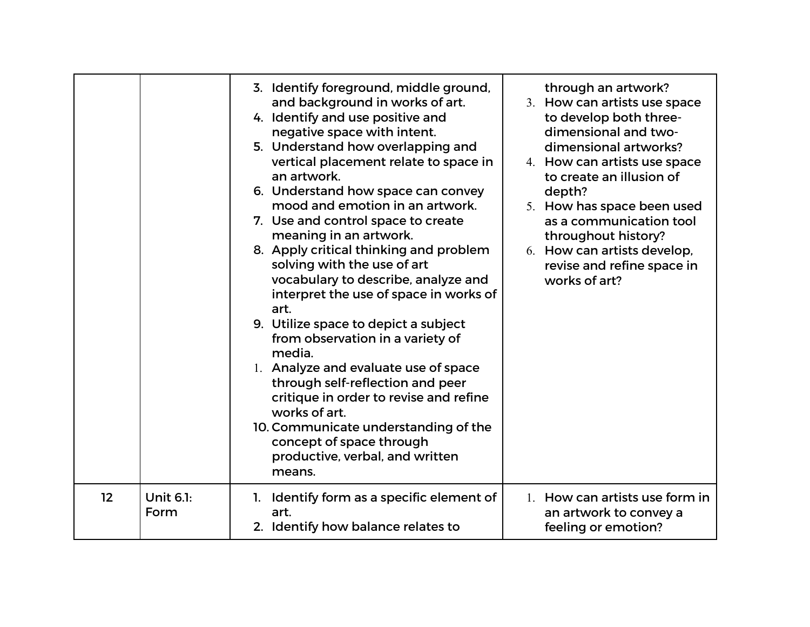|    |                          | 3. Identify foreground, middle ground,<br>and background in works of art.<br>4. Identify and use positive and<br>negative space with intent.<br>5. Understand how overlapping and<br>vertical placement relate to space in<br>an artwork.<br>6. Understand how space can convey<br>mood and emotion in an artwork.<br>7. Use and control space to create<br>meaning in an artwork.<br>8. Apply critical thinking and problem<br>solving with the use of art<br>vocabulary to describe, analyze and<br>interpret the use of space in works of<br>art.<br>9. Utilize space to depict a subject<br>from observation in a variety of<br>media.<br>1. Analyze and evaluate use of space<br>through self-reflection and peer<br>critique in order to revise and refine<br>works of art.<br>10. Communicate understanding of the<br>concept of space through<br>productive, verbal, and written<br>means. | through an artwork?<br>3. How can artists use space<br>to develop both three-<br>dimensional and two-<br>dimensional artworks?<br>4. How can artists use space<br>to create an illusion of<br>depth?<br>5. How has space been used<br>as a communication tool<br>throughout history?<br>6. How can artists develop,<br>revise and refine space in<br>works of art? |
|----|--------------------------|----------------------------------------------------------------------------------------------------------------------------------------------------------------------------------------------------------------------------------------------------------------------------------------------------------------------------------------------------------------------------------------------------------------------------------------------------------------------------------------------------------------------------------------------------------------------------------------------------------------------------------------------------------------------------------------------------------------------------------------------------------------------------------------------------------------------------------------------------------------------------------------------------|--------------------------------------------------------------------------------------------------------------------------------------------------------------------------------------------------------------------------------------------------------------------------------------------------------------------------------------------------------------------|
| 12 | <b>Unit 6.1:</b><br>Form | 1. Identify form as a specific element of<br>art.<br>2. Identify how balance relates to                                                                                                                                                                                                                                                                                                                                                                                                                                                                                                                                                                                                                                                                                                                                                                                                            | 1. How can artists use form in<br>an artwork to convey a<br>feeling or emotion?                                                                                                                                                                                                                                                                                    |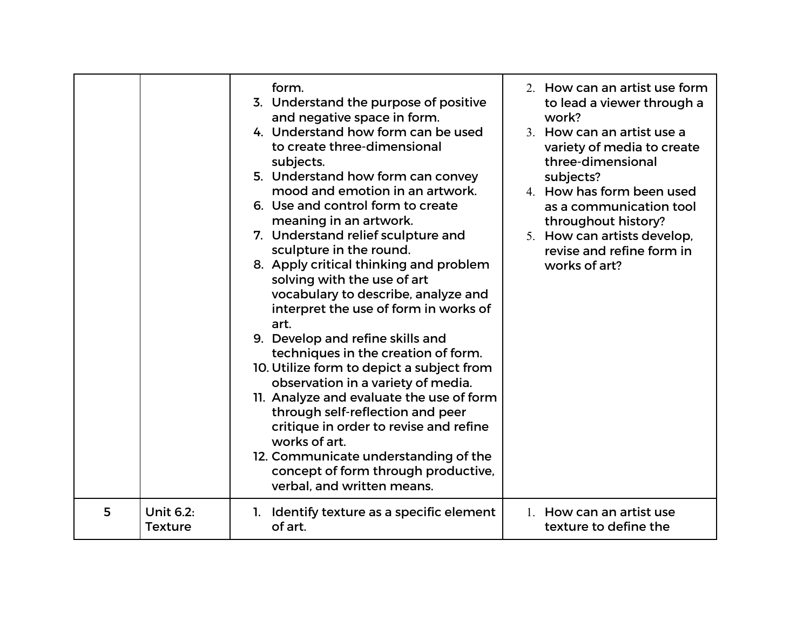|   |                             | form.<br>3. Understand the purpose of positive<br>and negative space in form.<br>4. Understand how form can be used<br>to create three-dimensional<br>subjects.<br>5. Understand how form can convey<br>mood and emotion in an artwork.<br>6. Use and control form to create<br>meaning in an artwork.<br>7. Understand relief sculpture and<br>sculpture in the round.<br>8. Apply critical thinking and problem<br>solving with the use of art<br>vocabulary to describe, analyze and<br>interpret the use of form in works of<br>art.<br>9. Develop and refine skills and<br>techniques in the creation of form.<br>10. Utilize form to depict a subject from<br>observation in a variety of media.<br>11. Analyze and evaluate the use of form<br>through self-reflection and peer<br>critique in order to revise and refine<br>works of art.<br>12. Communicate understanding of the<br>concept of form through productive,<br>verbal, and written means. | 2. How can an artist use form<br>to lead a viewer through a<br>work?<br>3. How can an artist use a<br>variety of media to create<br>three-dimensional<br>subjects?<br>4. How has form been used<br>as a communication tool<br>throughout history?<br>5. How can artists develop,<br>revise and refine form in<br>works of art? |
|---|-----------------------------|----------------------------------------------------------------------------------------------------------------------------------------------------------------------------------------------------------------------------------------------------------------------------------------------------------------------------------------------------------------------------------------------------------------------------------------------------------------------------------------------------------------------------------------------------------------------------------------------------------------------------------------------------------------------------------------------------------------------------------------------------------------------------------------------------------------------------------------------------------------------------------------------------------------------------------------------------------------|--------------------------------------------------------------------------------------------------------------------------------------------------------------------------------------------------------------------------------------------------------------------------------------------------------------------------------|
| 5 | Unit 6.2:<br><b>Texture</b> | 1. Identify texture as a specific element<br>of art.                                                                                                                                                                                                                                                                                                                                                                                                                                                                                                                                                                                                                                                                                                                                                                                                                                                                                                           | 1. How can an artist use<br>texture to define the                                                                                                                                                                                                                                                                              |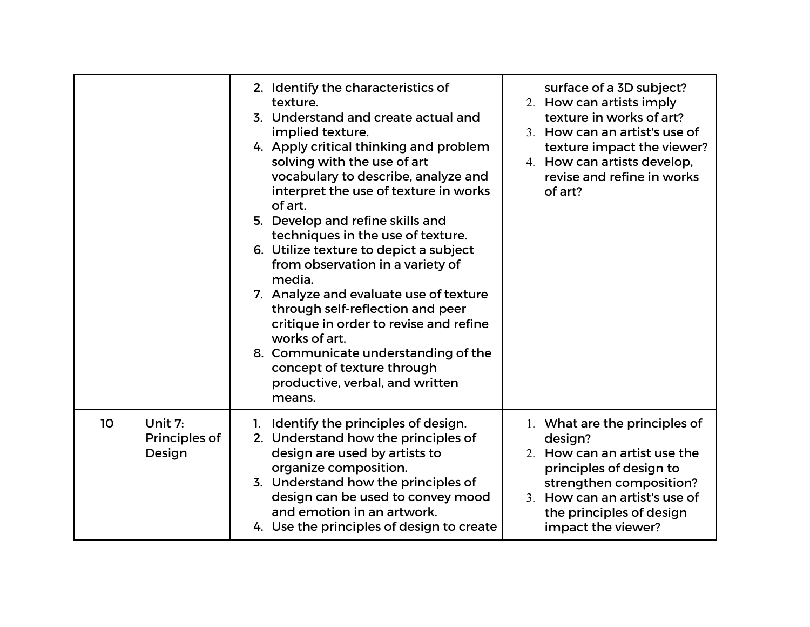|    |                                      | 2. Identify the characteristics of<br>texture.<br>3. Understand and create actual and<br>implied texture.<br>4. Apply critical thinking and problem<br>solving with the use of art<br>vocabulary to describe, analyze and<br>interpret the use of texture in works<br>of art.<br>5. Develop and refine skills and<br>techniques in the use of texture.<br>6. Utilize texture to depict a subject<br>from observation in a variety of<br>media.<br>7. Analyze and evaluate use of texture<br>through self-reflection and peer<br>critique in order to revise and refine<br>works of art.<br>8. Communicate understanding of the<br>concept of texture through<br>productive, verbal, and written<br>means. | surface of a 3D subject?<br>2. How can artists imply<br>texture in works of art?<br>3. How can an artist's use of<br>texture impact the viewer?<br>4. How can artists develop,<br>revise and refine in works<br>of art? |
|----|--------------------------------------|-----------------------------------------------------------------------------------------------------------------------------------------------------------------------------------------------------------------------------------------------------------------------------------------------------------------------------------------------------------------------------------------------------------------------------------------------------------------------------------------------------------------------------------------------------------------------------------------------------------------------------------------------------------------------------------------------------------|-------------------------------------------------------------------------------------------------------------------------------------------------------------------------------------------------------------------------|
| 10 | Unit $7:$<br>Principles of<br>Design | 1. Identify the principles of design.<br>2. Understand how the principles of<br>design are used by artists to<br>organize composition.<br>3. Understand how the principles of<br>design can be used to convey mood<br>and emotion in an artwork.<br>4. Use the principles of design to create                                                                                                                                                                                                                                                                                                                                                                                                             | 1. What are the principles of<br>design?<br>2. How can an artist use the<br>principles of design to<br>strengthen composition?<br>3. How can an artist's use of<br>the principles of design<br>impact the viewer?       |